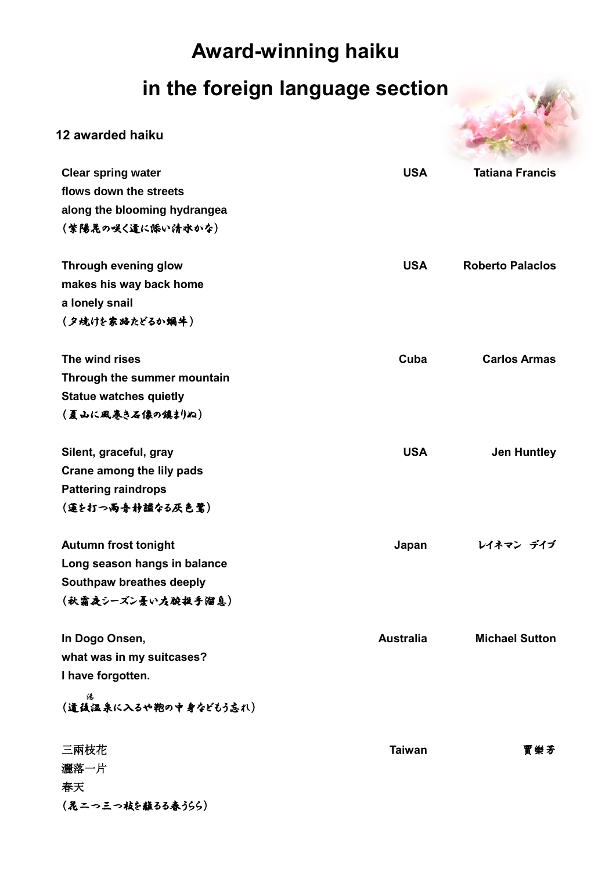## **Award-winning haiku**

## **in the foreign language section**



## **12 awarded haiku**

| <b>Clear spring water</b>     | <b>USA</b>       | <b>Tatiana Francis</b>  |
|-------------------------------|------------------|-------------------------|
| flows down the streets        |                  |                         |
| along the blooming hydrangea  |                  |                         |
| (紫陽花の咲く道に添い清水かな)              |                  |                         |
|                               |                  |                         |
| Through evening glow          | <b>USA</b>       | <b>Roberto Palaclos</b> |
| makes his way back home       |                  |                         |
| a lonely snail                |                  |                         |
| (夕焼けを家路たどるか蝸牛)                |                  |                         |
|                               |                  |                         |
| The wind rises                | Cuba             | <b>Carlos Armas</b>     |
| Through the summer mountain   |                  |                         |
| <b>Statue watches quietly</b> |                  |                         |
| (夏山に風巻き石像の鎮まりぬ)               |                  |                         |
|                               |                  |                         |
| Silent, graceful, gray        | <b>USA</b>       | <b>Jen Huntley</b>      |
| Crane among the lily pads     |                  |                         |
| <b>Pattering raindrops</b>    |                  |                         |
| (蓮を打つ雨音静謐なる灰色鷺)               |                  |                         |
|                               |                  |                         |
| <b>Autumn frost tonight</b>   | Japan            | レイネマン デイブ               |
| Long season hangs in balance  |                  |                         |
| Southpaw breathes deeply      |                  |                         |
| (秋霜夜シーズン憂い左腕挺手溜息)             |                  |                         |
|                               |                  |                         |
| In Dogo Onsen,                | <b>Australia</b> | <b>Michael Sutton</b>   |
| what was in my suitcases?     |                  |                         |
| I have forgotten.             |                  |                         |
| 碭<br>(道徳温泉に入るや鞄の中身などもう忘れ)     |                  |                         |
|                               |                  |                         |
| 三兩枝花                          | <b>Taiwan</b>    | 賈樂芳                     |
| 灑落一片                          |                  |                         |
| 春天                            |                  |                         |
| (晁二つ三つ枝を蘸るる春うらら)              |                  |                         |